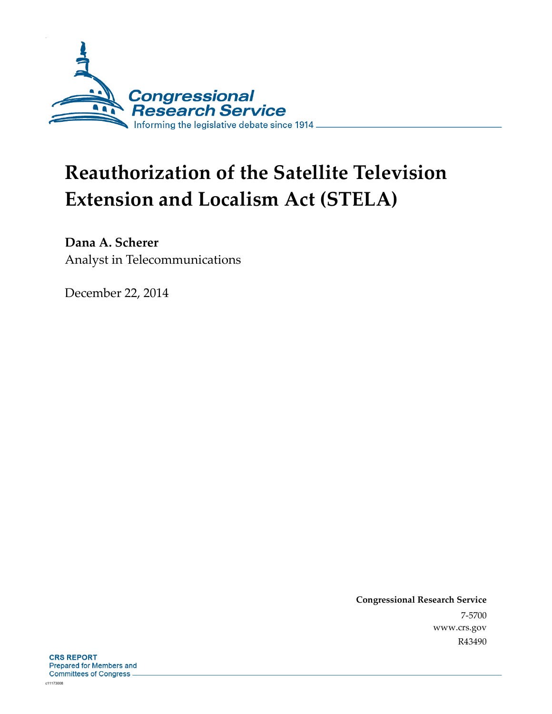

# **Reauthorization of the Satellite Television Extension and Localism Act (STELA)**

**Dana A. Scherer**  Analyst in Telecommunications

December 22, 2014

**Congressional Research Service**  7-5700 www.crs.gov R43490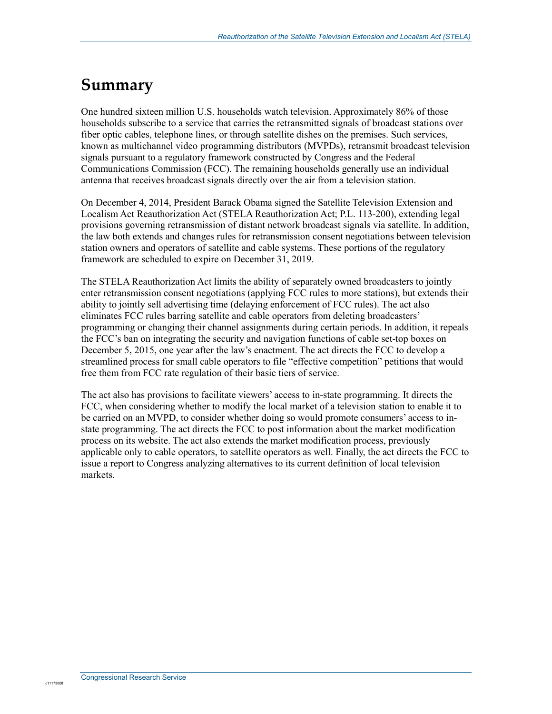## **Summary**

.

One hundred sixteen million U.S. households watch television. Approximately 86% of those households subscribe to a service that carries the retransmitted signals of broadcast stations over fiber optic cables, telephone lines, or through satellite dishes on the premises. Such services, known as multichannel video programming distributors (MVPDs), retransmit broadcast television signals pursuant to a regulatory framework constructed by Congress and the Federal Communications Commission (FCC). The remaining households generally use an individual antenna that receives broadcast signals directly over the air from a television station.

On December 4, 2014, President Barack Obama signed the Satellite Television Extension and Localism Act Reauthorization Act (STELA Reauthorization Act; P.L. 113-200), extending legal provisions governing retransmission of distant network broadcast signals via satellite. In addition, the law both extends and changes rules for retransmission consent negotiations between television station owners and operators of satellite and cable systems. These portions of the regulatory framework are scheduled to expire on December 31, 2019.

The STELA Reauthorization Act limits the ability of separately owned broadcasters to jointly enter retransmission consent negotiations (applying FCC rules to more stations), but extends their ability to jointly sell advertising time (delaying enforcement of FCC rules). The act also eliminates FCC rules barring satellite and cable operators from deleting broadcasters' programming or changing their channel assignments during certain periods. In addition, it repeals the FCC's ban on integrating the security and navigation functions of cable set-top boxes on December 5, 2015, one year after the law's enactment. The act directs the FCC to develop a streamlined process for small cable operators to file "effective competition" petitions that would free them from FCC rate regulation of their basic tiers of service.

The act also has provisions to facilitate viewers' access to in-state programming. It directs the FCC, when considering whether to modify the local market of a television station to enable it to be carried on an MVPD, to consider whether doing so would promote consumers' access to instate programming. The act directs the FCC to post information about the market modification process on its website. The act also extends the market modification process, previously applicable only to cable operators, to satellite operators as well. Finally, the act directs the FCC to issue a report to Congress analyzing alternatives to its current definition of local television markets.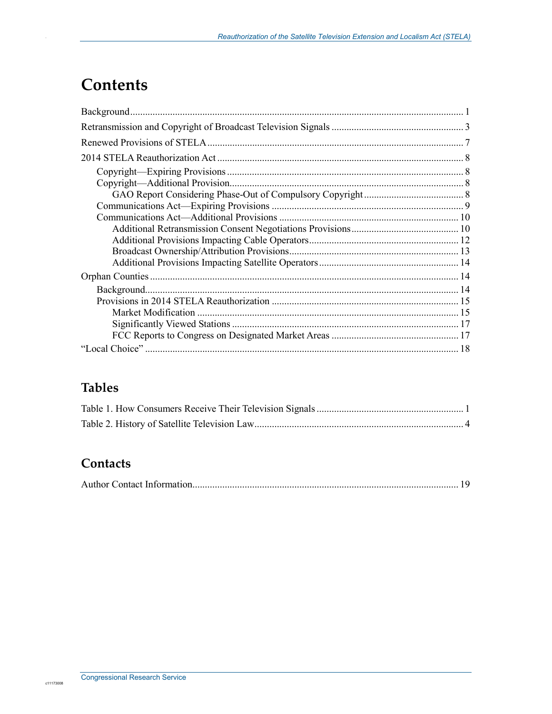## **Contents**

.

### **Tables**

### **Contacts**

|--|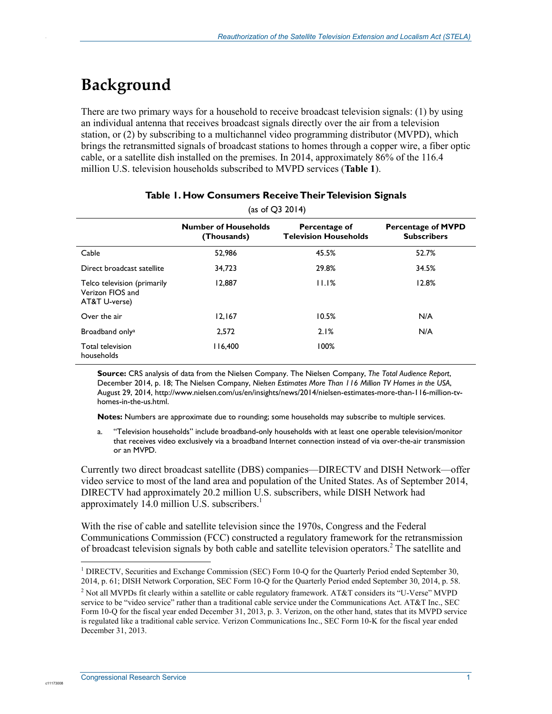## **Background**

.

There are two primary ways for a household to receive broadcast television signals: (1) by using an individual antenna that receives broadcast signals directly over the air from a television station, or (2) by subscribing to a multichannel video programming distributor (MVPD), which brings the retransmitted signals of broadcast stations to homes through a copper wire, a fiber optic cable, or a satellite dish installed on the premises. In 2014, approximately 86% of the 116.4 million U.S. television households subscribed to MVPD services (**Table 1**).

| (as of $Q3 2014$ )                                               |                                            |                                               |                                                 |  |
|------------------------------------------------------------------|--------------------------------------------|-----------------------------------------------|-------------------------------------------------|--|
|                                                                  | <b>Number of Households</b><br>(Thousands) | Percentage of<br><b>Television Households</b> | <b>Percentage of MVPD</b><br><b>Subscribers</b> |  |
| Cable                                                            | 52,986                                     | 45.5%                                         | 52.7%                                           |  |
| Direct broadcast satellite                                       | 34.723                                     | 29.8%                                         | 34.5%                                           |  |
| Telco television (primarily<br>Verizon FIOS and<br>AT&T U-verse) | 12,887                                     | 11.1%                                         | 12.8%                                           |  |
| Over the air                                                     | 12,167                                     | 10.5%                                         | N/A                                             |  |
| Broadband only <sup>a</sup>                                      | 2,572                                      | 2.1%                                          | N/A                                             |  |
| Total television<br>households                                   | 116,400                                    | 100%                                          |                                                 |  |

#### **Table 1. How Consumers Receive Their Television Signals**

**Source:** CRS analysis of data from the Nielsen Company. The Nielsen Company, *The Total Audience Report*, December 2014, p. 18; The Nielsen Company, *Nielsen Estimates More Than 116 Million TV Homes in the USA*, August 29, 2014, http://www.nielsen.com/us/en/insights/news/2014/nielsen-estimates-more-than-116-million-tvhomes-in-the-us.html.

**Notes:** Numbers are approximate due to rounding; some households may subscribe to multiple services.

a. "Television households" include broadband-only households with at least one operable television/monitor that receives video exclusively via a broadband Internet connection instead of via over-the-air transmission or an MVPD.

Currently two direct broadcast satellite (DBS) companies—DIRECTV and DISH Network—offer video service to most of the land area and population of the United States. As of September 2014, DIRECTV had approximately 20.2 million U.S. subscribers, while DISH Network had approximately 14.0 million U.S. subscribers. $<sup>1</sup>$ </sup>

With the rise of cable and satellite television since the 1970s, Congress and the Federal Communications Commission (FCC) constructed a regulatory framework for the retransmission of broadcast television signals by both cable and satellite television operators.<sup>2</sup> The satellite and

1

<sup>&</sup>lt;sup>1</sup> DIRECTV, Securities and Exchange Commission (SEC) Form 10-Q for the Quarterly Period ended September 30, 2014, p. 61; DISH Network Corporation, SEC Form 10-Q for the Quarterly Period ended September 30, 2014, p. 58.

<sup>&</sup>lt;sup>2</sup> Not all MVPDs fit clearly within a satellite or cable regulatory framework. AT&T considers its "U-Verse" MVPD service to be "video service" rather than a traditional cable service under the Communications Act. AT&T Inc., SEC Form 10-Q for the fiscal year ended December 31, 2013, p. 3. Verizon, on the other hand, states that its MVPD service is regulated like a traditional cable service. Verizon Communications Inc., SEC Form 10-K for the fiscal year ended December 31, 2013.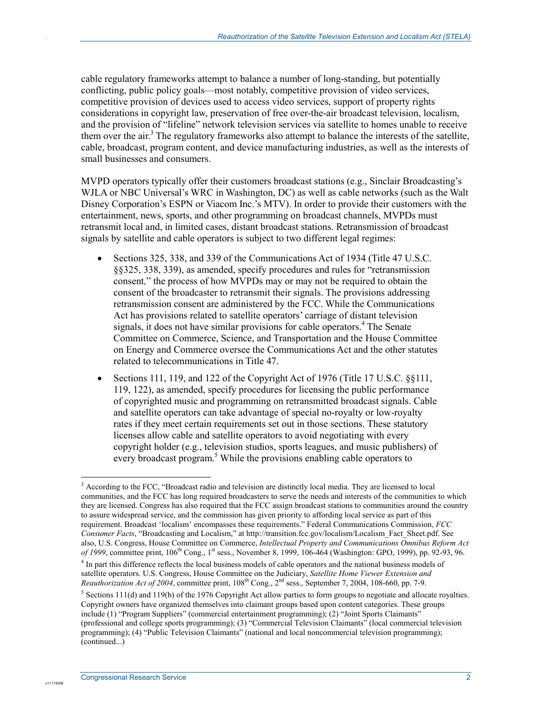cable regulatory frameworks attempt to balance a number of long-standing, but potentially conflicting, public policy goals—most notably, competitive provision of video services, competitive provision of devices used to access video services, support of property rights considerations in copyright law, preservation of free over-the-air broadcast television, localism, and the provision of "lifeline" network television services via satellite to homes unable to receive them over the air.<sup>3</sup> The regulatory frameworks also attempt to balance the interests of the satellite, cable, broadcast, program content, and device manufacturing industries, as well as the interests of small businesses and consumers.

MVPD operators typically offer their customers broadcast stations (e.g., Sinclair Broadcasting's WJLA or NBC Universal's WRC in Washington, DC) as well as cable networks (such as the Walt Disney Corporation's ESPN or Viacom Inc.'s MTV). In order to provide their customers with the entertainment, news, sports, and other programming on broadcast channels, MVPDs must retransmit local and, in limited cases, distant broadcast stations. Retransmission of broadcast signals by satellite and cable operators is subject to two different legal regimes:

- Sections 325, 338, and 339 of the Communications Act of 1934 (Title 47 U.S.C.) §§325, 338, 339), as amended, specify procedures and rules for "retransmission consent*,*" the process of how MVPDs may or may not be required to obtain the consent of the broadcaster to retransmit their signals. The provisions addressing retransmission consent are administered by the FCC. While the Communications Act has provisions related to satellite operators' carriage of distant television signals, it does not have similar provisions for cable operators.<sup>4</sup> The Senate Committee on Commerce, Science, and Transportation and the House Committee on Energy and Commerce oversee the Communications Act and the other statutes related to telecommunications in Title 47.
- Sections 111, 119, and 122 of the Copyright Act of 1976 (Title 17 U.S.C. §§111, 119, 122), as amended, specify procedures for licensing the public performance of copyrighted music and programming on retransmitted broadcast signals. Cable and satellite operators can take advantage of special no-royalty or low-royalty rates if they meet certain requirements set out in those sections. These statutory licenses allow cable and satellite operators to avoid negotiating with every copyright holder (e.g., television studios, sports leagues, and music publishers) of every broadcast program.<sup>5</sup> While the provisions enabling cable operators to

<u>.</u>

c1117300

<sup>&</sup>lt;sup>3</sup> According to the FCC, "Broadcast radio and television are distinctly local media. They are licensed to local communities, and the FCC has long required broadcasters to serve the needs and interests of the communities to which they are licensed. Congress has also required that the FCC assign broadcast stations to communities around the country to assure widespread service, and the commission has given priority to affording local service as part of this requirement. Broadcast 'localism' encompasses these requirements." Federal Communications Commission, *FCC Consumer Facts*, "Broadcasting and Localism," at http://transition.fcc.gov/localism/Localism\_Fact\_Sheet.pdf. See also, U.S. Congress, House Committee on Commerce, *Intellectual Property and Communications Omnibus Reform Act of 1999*, committee print, 106<sup>th</sup> Cong., 1<sup>st</sup> sess., November 8, 1999, 106-464 (Washington: GPO, 1999), pp. 92-93, 96.

<sup>&</sup>lt;sup>4</sup> In part this difference reflects the local business models of cable operators and the national business models of satellite operators. U.S. Congress, House Committee on the Judiciary, *Satellite Home Viewer Extension and Reauthorization Act of 2004*, committee print, 108<sup>th</sup> Cong., 2<sup>nd</sup> sess., September 7, 2004, 108-660, pp. 7-9.

 $<sup>5</sup>$  Sections 111(d) and 119(b) of the 1976 Copyright Act allow parties to form groups to negotiate and allocate royalties.</sup> Copyright owners have organized themselves into claimant groups based upon content categories. These groups include (1) "Program Suppliers" (commercial entertainment programming); (2) "Joint Sports Claimants" (professional and college sports programming); (3) "Commercial Television Claimants" (local commercial television programming); (4) "Public Television Claimants" (national and local noncommercial television programming); (continued...)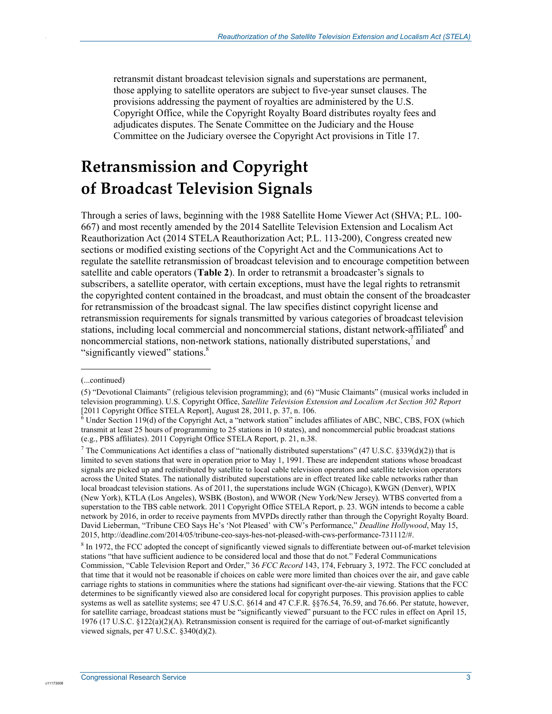retransmit distant broadcast television signals and superstations are permanent, those applying to satellite operators are subject to five-year sunset clauses. The provisions addressing the payment of royalties are administered by the U.S. Copyright Office, while the Copyright Royalty Board distributes royalty fees and adjudicates disputes. The Senate Committee on the Judiciary and the House Committee on the Judiciary oversee the Copyright Act provisions in Title 17.

## **Retransmission and Copyright of Broadcast Television Signals**

Through a series of laws, beginning with the 1988 Satellite Home Viewer Act (SHVA; P.L. 100- 667) and most recently amended by the 2014 Satellite Television Extension and Localism Act Reauthorization Act (2014 STELA Reauthorization Act; P.L. 113-200), Congress created new sections or modified existing sections of the Copyright Act and the Communications Act to regulate the satellite retransmission of broadcast television and to encourage competition between satellite and cable operators (**Table 2**). In order to retransmit a broadcaster's signals to subscribers, a satellite operator, with certain exceptions, must have the legal rights to retransmit the copyrighted content contained in the broadcast, and must obtain the consent of the broadcaster for retransmission of the broadcast signal. The law specifies distinct copyright license and retransmission requirements for signals transmitted by various categories of broadcast television stations, including local commercial and noncommercial stations, distant network-affiliated<sup>6</sup> and noncommercial stations, non-network stations, nationally distributed superstations, $^7$  and "significantly viewed" stations.<sup>8</sup>

 $\overline{a}$ 

.

<sup>(...</sup>continued)

<sup>(5) &</sup>quot;Devotional Claimants" (religious television programming); and (6) "Music Claimants" (musical works included in television programming). U.S. Copyright Office, *Satellite Television Extension and Localism Act Section 302 Report* [2011 Copyright Office STELA Report], August 28, 2011, p. 37, n. 106.

 $^6$  Under Section 119(d) of the Copyright Act, a "network station" includes affiliates of ABC, NBC, CBS, FOX (which transmit at least 25 hours of programming to 25 stations in 10 states), and noncommercial public broadcast stations (e.g., PBS affiliates). 2011 Copyright Office STELA Report, p. 21, n.38.

<sup>&</sup>lt;sup>7</sup> The Communications Act identifies a class of "nationally distributed superstations" (47 U.S.C. §339(d)(2)) that is limited to seven stations that were in operation prior to May 1, 1991. These are independent stations whose broadcast signals are picked up and redistributed by satellite to local cable television operators and satellite television operators across the United States. The nationally distributed superstations are in effect treated like cable networks rather than local broadcast television stations. As of 2011, the superstations include WGN (Chicago), KWGN (Denver), WPIX (New York), KTLA (Los Angeles), WSBK (Boston), and WWOR (New York/New Jersey). WTBS converted from a superstation to the TBS cable network. 2011 Copyright Office STELA Report, p. 23. WGN intends to become a cable network by 2016, in order to receive payments from MVPDs directly rather than through the Copyright Royalty Board. David Lieberman, "Tribune CEO Says He's 'Not Pleased' with CW's Performance," *Deadline Hollywood*, May 15, 2015, http://deadline.com/2014/05/tribune-ceo-says-hes-not-pleased-with-cws-performance-731112/#.

<sup>&</sup>lt;sup>8</sup> In 1972, the FCC adopted the concept of significantly viewed signals to differentiate between out-of-market television stations "that have sufficient audience to be considered local and those that do not." Federal Communications Commission, "Cable Television Report and Order," 36 *FCC Record* 143, 174, February 3, 1972. The FCC concluded at that time that it would not be reasonable if choices on cable were more limited than choices over the air, and gave cable carriage rights to stations in communities where the stations had significant over-the-air viewing. Stations that the FCC determines to be significantly viewed also are considered local for copyright purposes. This provision applies to cable systems as well as satellite systems; see 47 U.S.C. §614 and 47 C.F.R. §§76.54, 76.59, and 76.66. Per statute, however, for satellite carriage, broadcast stations must be "significantly viewed" pursuant to the FCC rules in effect on April 15, 1976 (17 U.S.C.  $\S 122(a)(2)(A)$ . Retransmission consent is required for the carriage of out-of-market significantly viewed signals, per 47 U.S.C. §340(d)(2).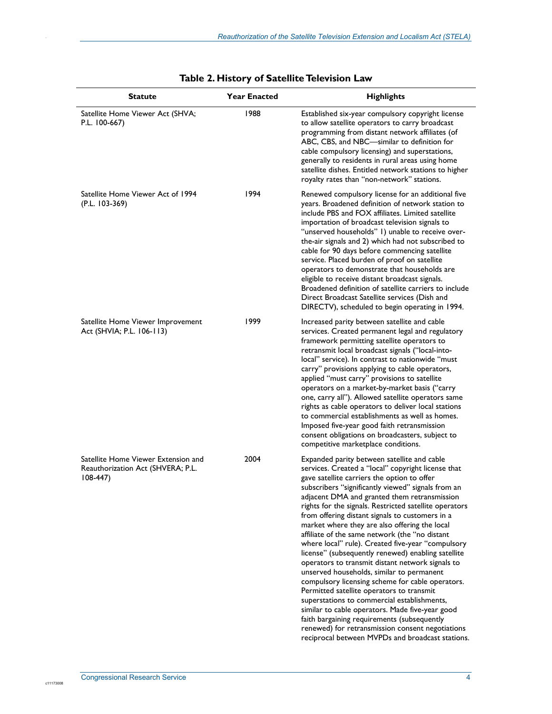| <b>Statute</b>                                                                        | <b>Year Enacted</b> | <b>Highlights</b>                                                                                                                                                                                                                                                                                                                                                                                                                                                                                                                                                                                                                                                                                                                                                                                                                                                                                                                                                                                                                            |
|---------------------------------------------------------------------------------------|---------------------|----------------------------------------------------------------------------------------------------------------------------------------------------------------------------------------------------------------------------------------------------------------------------------------------------------------------------------------------------------------------------------------------------------------------------------------------------------------------------------------------------------------------------------------------------------------------------------------------------------------------------------------------------------------------------------------------------------------------------------------------------------------------------------------------------------------------------------------------------------------------------------------------------------------------------------------------------------------------------------------------------------------------------------------------|
| Satellite Home Viewer Act (SHVA;<br>P.L. 100-667)                                     | 1988                | Established six-year compulsory copyright license<br>to allow satellite operators to carry broadcast<br>programming from distant network affiliates (of<br>ABC, CBS, and NBC-similar to definition for<br>cable compulsory licensing) and superstations,<br>generally to residents in rural areas using home<br>satellite dishes. Entitled network stations to higher<br>royalty rates than "non-network" stations.                                                                                                                                                                                                                                                                                                                                                                                                                                                                                                                                                                                                                          |
| Satellite Home Viewer Act of 1994<br>(P.L. 103-369)                                   | 1994                | Renewed compulsory license for an additional five<br>years. Broadened definition of network station to<br>include PBS and FOX affiliates. Limited satellite<br>importation of broadcast television signals to<br>"unserved households" I) unable to receive over-<br>the-air signals and 2) which had not subscribed to<br>cable for 90 days before commencing satellite<br>service. Placed burden of proof on satellite<br>operators to demonstrate that households are<br>eligible to receive distant broadcast signals.<br>Broadened definition of satellite carriers to include<br>Direct Broadcast Satellite services (Dish and<br>DIRECTV), scheduled to begin operating in 1994.                                                                                                                                                                                                                                                                                                                                                      |
| Satellite Home Viewer Improvement<br>Act (SHVIA; P.L. 106-113)                        | 1999                | Increased parity between satellite and cable<br>services. Created permanent legal and regulatory<br>framework permitting satellite operators to<br>retransmit local broadcast signals ("local-into-<br>local" service). In contrast to nationwide "must<br>carry" provisions applying to cable operators,<br>applied "must carry" provisions to satellite<br>operators on a market-by-market basis ("carry<br>one, carry all"). Allowed satellite operators same<br>rights as cable operators to deliver local stations<br>to commercial establishments as well as homes.<br>Imposed five-year good faith retransmission<br>consent obligations on broadcasters, subject to<br>competitive marketplace conditions.                                                                                                                                                                                                                                                                                                                           |
| Satellite Home Viewer Extension and<br>Reauthorization Act (SHVERA; P.L.<br>$108-447$ | 2004                | Expanded parity between satellite and cable<br>services. Created a "local" copyright license that<br>gave satellite carriers the option to offer<br>subscribers "significantly viewed" signals from an<br>adjacent DMA and granted them retransmission<br>rights for the signals. Restricted satellite operators<br>from offering distant signals to customers in a<br>market where they are also offering the local<br>affiliate of the same network (the "no distant<br>where local" rule). Created five-year "compulsory<br>license" (subsequently renewed) enabling satellite<br>operators to transmit distant network signals to<br>unserved households, similar to permanent<br>compulsory licensing scheme for cable operators.<br>Permitted satellite operators to transmit<br>superstations to commercial establishments,<br>similar to cable operators. Made five-year good<br>faith bargaining requirements (subsequently<br>renewed) for retransmission consent negotiations<br>reciprocal between MVPDs and broadcast stations. |

#### **Table 2. History of Satellite Television Law**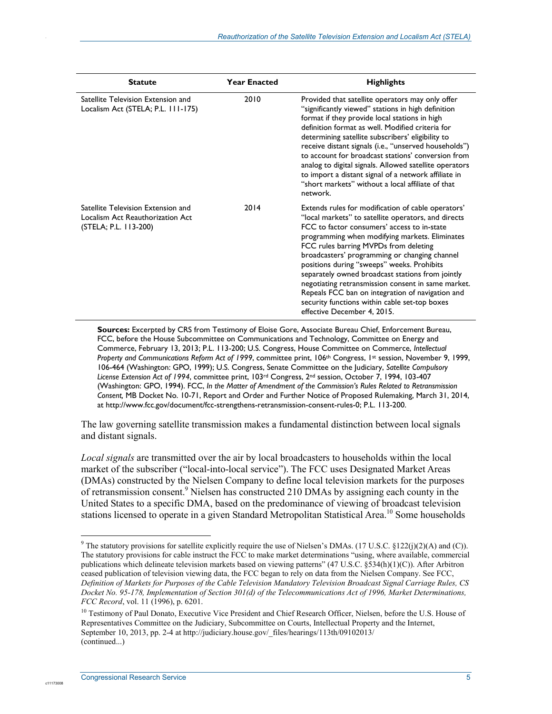| <b>Statute</b>                                                                                  | <b>Year Enacted</b> | <b>Highlights</b>                                                                                                                                                                                                                                                                                                                                                                                                                                                                                                                                                                                |
|-------------------------------------------------------------------------------------------------|---------------------|--------------------------------------------------------------------------------------------------------------------------------------------------------------------------------------------------------------------------------------------------------------------------------------------------------------------------------------------------------------------------------------------------------------------------------------------------------------------------------------------------------------------------------------------------------------------------------------------------|
| Satellite Television Extension and<br>Localism Act (STELA; P.L. 111-175)                        | 2010                | Provided that satellite operators may only offer<br>"significantly viewed" stations in high definition<br>format if they provide local stations in high<br>definition format as well. Modified criteria for<br>determining satellite subscribers' eligibility to<br>receive distant signals (i.e., "unserved households")<br>to account for broadcast stations' conversion from<br>analog to digital signals. Allowed satellite operators<br>to import a distant signal of a network affiliate in<br>"short markets" without a local affiliate of that<br>network.                               |
| Satellite Television Extension and<br>Localism Act Reauthorization Act<br>(STELA; P.L. 113-200) | 2014                | Extends rules for modification of cable operators'<br>"local markets" to satellite operators, and directs<br>FCC to factor consumers' access to in-state<br>programming when modifying markets. Eliminates<br>FCC rules barring MVPDs from deleting<br>broadcasters' programming or changing channel<br>positions during "sweeps" weeks. Prohibits<br>separately owned broadcast stations from jointly<br>negotiating retransmission consent in same market.<br>Repeals FCC ban on integration of navigation and<br>security functions within cable set-top boxes<br>effective December 4, 2015. |

**Sources:** Excerpted by CRS from Testimony of Eloise Gore, Associate Bureau Chief, Enforcement Bureau, FCC, before the House Subcommittee on Communications and Technology, Committee on Energy and Commerce, February 13, 2013; P.L. 113-200; U.S. Congress, House Committee on Commerce, *Intellectual Property and Communications Reform Act of 1999*, committee print, 106th Congress, 1st session, November 9, 1999, 106-464 (Washington: GPO, 1999); U.S. Congress, Senate Committee on the Judiciary, *Satellite Compulsory License Extension Act of 1994*, committee print, 103rd Congress, 2nd session, October 7, 1994, 103-407 (Washington: GPO, 1994). FCC, *In the Matter of Amendment of the Commission's Rules Related to Retransmission Consent,* MB Docket No. 10-71, Report and Order and Further Notice of Proposed Rulemaking, March 31, 2014, at http://www.fcc.gov/document/fcc-strengthens-retransmission-consent-rules-0; P.L. 113-200.

The law governing satellite transmission makes a fundamental distinction between local signals and distant signals.

*Local signals* are transmitted over the air by local broadcasters to households within the local market of the subscriber ("local-into-local service"). The FCC uses Designated Market Areas (DMAs) constructed by the Nielsen Company to define local television markets for the purposes of retransmission consent.<sup>9</sup> Nielsen has constructed 210 DMAs by assigning each county in the United States to a specific DMA, based on the predominance of viewing of broadcast television stations licensed to operate in a given Standard Metropolitan Statistical Area.<sup>10</sup> Some households

1

c11173008

<sup>&</sup>lt;sup>9</sup> The statutory provisions for satellite explicitly require the use of Nielsen's DMAs. (17 U.S.C. §122(j)(2)(A) and (C)). The statutory provisions for cable instruct the FCC to make market determinations "using, where available, commercial publications which delineate television markets based on viewing patterns" (47 U.S.C. §534(h)(1)(C)). After Arbitron ceased publication of television viewing data, the FCC began to rely on data from the Nielsen Company. See FCC, *Definition of Markets for Purposes of the Cable Television Mandatory Television Broadcast Signal Carriage Rules, CS Docket No. 95-178, Implementation of Section 301(d) of the Telecommunications Act of 1996, Market Determinations, FCC Record*, vol. 11 (1996), p. 6201.

<sup>&</sup>lt;sup>10</sup> Testimony of Paul Donato, Executive Vice President and Chief Research Officer, Nielsen, before the U.S. House of Representatives Committee on the Judiciary, Subcommittee on Courts, Intellectual Property and the Internet, September 10, 2013, pp. 2-4 at http://judiciary.house.gov/\_files/hearings/113th/09102013/ (continued...)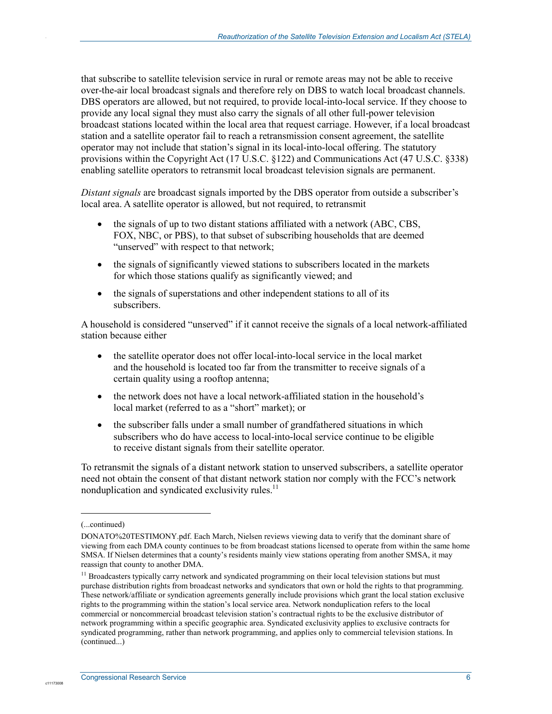that subscribe to satellite television service in rural or remote areas may not be able to receive over-the-air local broadcast signals and therefore rely on DBS to watch local broadcast channels. DBS operators are allowed, but not required, to provide local-into-local service. If they choose to provide any local signal they must also carry the signals of all other full-power television broadcast stations located within the local area that request carriage. However, if a local broadcast station and a satellite operator fail to reach a retransmission consent agreement, the satellite operator may not include that station's signal in its local-into-local offering. The statutory provisions within the Copyright Act (17 U.S.C. §122) and Communications Act (47 U.S.C. §338) enabling satellite operators to retransmit local broadcast television signals are permanent.

*Distant signals* are broadcast signals imported by the DBS operator from outside a subscriber's local area. A satellite operator is allowed, but not required, to retransmit

- the signals of up to two distant stations affiliated with a network (ABC, CBS, FOX, NBC, or PBS), to that subset of subscribing households that are deemed "unserved" with respect to that network;
- the signals of significantly viewed stations to subscribers located in the markets for which those stations qualify as significantly viewed; and
- the signals of superstations and other independent stations to all of its subscribers.

A household is considered "unserved" if it cannot receive the signals of a local network-affiliated station because either

- the satellite operator does not offer local-into-local service in the local market and the household is located too far from the transmitter to receive signals of a certain quality using a rooftop antenna;
- the network does not have a local network-affiliated station in the household's local market (referred to as a "short" market); or
- the subscriber falls under a small number of grandfathered situations in which subscribers who do have access to local-into-local service continue to be eligible to receive distant signals from their satellite operator.

To retransmit the signals of a distant network station to unserved subscribers, a satellite operator need not obtain the consent of that distant network station nor comply with the FCC's network nonduplication and syndicated exclusivity rules.<sup>11</sup>

1

c11173008

<sup>(...</sup>continued)

DONATO%20TESTIMONY.pdf. Each March, Nielsen reviews viewing data to verify that the dominant share of viewing from each DMA county continues to be from broadcast stations licensed to operate from within the same home SMSA. If Nielsen determines that a county's residents mainly view stations operating from another SMSA, it may reassign that county to another DMA.

<sup>&</sup>lt;sup>11</sup> Broadcasters typically carry network and syndicated programming on their local television stations but must purchase distribution rights from broadcast networks and syndicators that own or hold the rights to that programming. These network/affiliate or syndication agreements generally include provisions which grant the local station exclusive rights to the programming within the station's local service area. Network nonduplication refers to the local commercial or noncommercial broadcast television station's contractual rights to be the exclusive distributor of network programming within a specific geographic area. Syndicated exclusivity applies to exclusive contracts for syndicated programming, rather than network programming, and applies only to commercial television stations. In (continued...)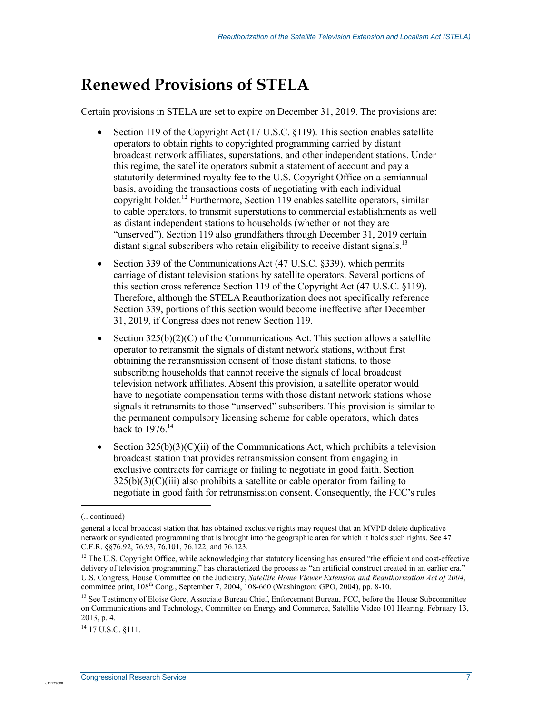## **Renewed Provisions of STELA**

Certain provisions in STELA are set to expire on December 31, 2019. The provisions are:

- Section 119 of the Copyright Act (17 U.S.C. §119). This section enables satellite operators to obtain rights to copyrighted programming carried by distant broadcast network affiliates, superstations, and other independent stations. Under this regime, the satellite operators submit a statement of account and pay a statutorily determined royalty fee to the U.S. Copyright Office on a semiannual basis, avoiding the transactions costs of negotiating with each individual copyright holder.12 Furthermore, Section 119 enables satellite operators, similar to cable operators, to transmit superstations to commercial establishments as well as distant independent stations to households (whether or not they are "unserved"). Section 119 also grandfathers through December 31, 2019 certain distant signal subscribers who retain eligibility to receive distant signals.<sup>13</sup>
- Section 339 of the Communications Act (47 U.S.C. §339), which permits carriage of distant television stations by satellite operators. Several portions of this section cross reference Section 119 of the Copyright Act (47 U.S.C. §119). Therefore, although the STELA Reauthorization does not specifically reference Section 339, portions of this section would become ineffective after December 31, 2019, if Congress does not renew Section 119.
- Section  $325(b)(2)(C)$  of the Communications Act. This section allows a satellite operator to retransmit the signals of distant network stations, without first obtaining the retransmission consent of those distant stations, to those subscribing households that cannot receive the signals of local broadcast television network affiliates. Absent this provision, a satellite operator would have to negotiate compensation terms with those distant network stations whose signals it retransmits to those "unserved" subscribers. This provision is similar to the permanent compulsory licensing scheme for cable operators, which dates back to  $1976$ .<sup>14</sup>
- Section  $325(b)(3)(C)(ii)$  of the Communications Act, which prohibits a television broadcast station that provides retransmission consent from engaging in exclusive contracts for carriage or failing to negotiate in good faith. Section  $325(b)(3)(C)(iii)$  also prohibits a satellite or cable operator from failing to negotiate in good faith for retransmission consent. Consequently, the FCC's rules

1

<sup>(...</sup>continued)

general a local broadcast station that has obtained exclusive rights may request that an MVPD delete duplicative network or syndicated programming that is brought into the geographic area for which it holds such rights. See 47 C.F.R. §§76.92, 76.93, 76.101, 76.122, and 76.123.

<sup>&</sup>lt;sup>12</sup> The U.S. Copyright Office, while acknowledging that statutory licensing has ensured "the efficient and cost-effective delivery of television programming," has characterized the process as "an artificial construct created in an earlier era." U.S. Congress, House Committee on the Judiciary, *Satellite Home Viewer Extension and Reauthorization Act of 2004*, committee print, 108th Cong., September 7, 2004, 108-660 (Washington: GPO, 2004), pp. 8-10.

<sup>&</sup>lt;sup>13</sup> See Testimony of Eloise Gore, Associate Bureau Chief, Enforcement Bureau, FCC, before the House Subcommittee on Communications and Technology, Committee on Energy and Commerce, Satellite Video 101 Hearing, February 13, 2013, p. 4.

<sup>14 17</sup> U.S.C. §111.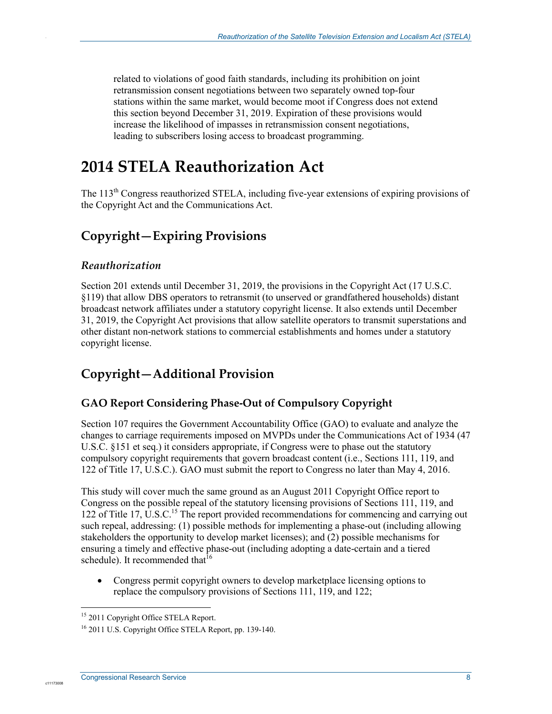related to violations of good faith standards, including its prohibition on joint retransmission consent negotiations between two separately owned top-four stations within the same market, would become moot if Congress does not extend this section beyond December 31, 2019. Expiration of these provisions would increase the likelihood of impasses in retransmission consent negotiations, leading to subscribers losing access to broadcast programming.

## **2014 STELA Reauthorization Act**

The 113<sup>th</sup> Congress reauthorized STELA, including five-year extensions of expiring provisions of the Copyright Act and the Communications Act.

### **Copyright—Expiring Provisions**

#### *Reauthorization*

.

Section 201 extends until December 31, 2019, the provisions in the Copyright Act (17 U.S.C. §119) that allow DBS operators to retransmit (to unserved or grandfathered households) distant broadcast network affiliates under a statutory copyright license. It also extends until December 31, 2019, the Copyright Act provisions that allow satellite operators to transmit superstations and other distant non-network stations to commercial establishments and homes under a statutory copyright license.

### **Copyright—Additional Provision**

#### **GAO Report Considering Phase-Out of Compulsory Copyright**

Section 107 requires the Government Accountability Office (GAO) to evaluate and analyze the changes to carriage requirements imposed on MVPDs under the Communications Act of 1934 (47 U.S.C. §151 et seq.) it considers appropriate, if Congress were to phase out the statutory compulsory copyright requirements that govern broadcast content (i.e., Sections 111, 119, and 122 of Title 17, U.S.C.). GAO must submit the report to Congress no later than May 4, 2016.

This study will cover much the same ground as an August 2011 Copyright Office report to Congress on the possible repeal of the statutory licensing provisions of Sections 111, 119, and 122 of Title 17,  $\dot{U}$ .S.C.<sup>15</sup> The report provided recommendations for commencing and carrying out such repeal, addressing: (1) possible methods for implementing a phase-out (including allowing stakeholders the opportunity to develop market licenses); and (2) possible mechanisms for ensuring a timely and effective phase-out (including adopting a date-certain and a tiered schedule). It recommended that  $16$ 

• Congress permit copyright owners to develop marketplace licensing options to replace the compulsory provisions of Sections 111, 119, and 122;

<sup>1</sup> <sup>15</sup> 2011 Copyright Office STELA Report.

<sup>16 2011</sup> U.S. Copyright Office STELA Report, pp. 139-140.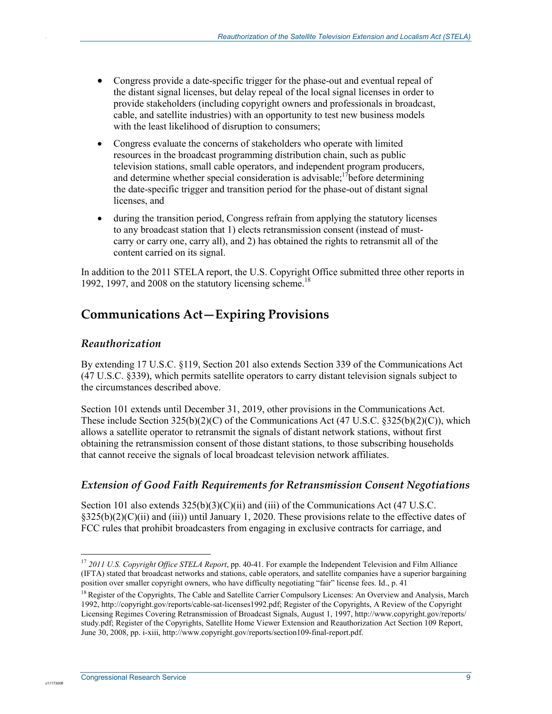- Congress provide a date-specific trigger for the phase-out and eventual repeal of the distant signal licenses, but delay repeal of the local signal licenses in order to provide stakeholders (including copyright owners and professionals in broadcast, cable, and satellite industries) with an opportunity to test new business models with the least likelihood of disruption to consumers;
- Congress evaluate the concerns of stakeholders who operate with limited resources in the broadcast programming distribution chain, such as public television stations, small cable operators, and independent program producers, and determine whether special consideration is advisable;  $\frac{1}{2}$  before determining the date-specific trigger and transition period for the phase-out of distant signal licenses, and
- during the transition period, Congress refrain from applying the statutory licenses to any broadcast station that 1) elects retransmission consent (instead of mustcarry or carry one, carry all), and 2) has obtained the rights to retransmit all of the content carried on its signal.

In addition to the 2011 STELA report, the U.S. Copyright Office submitted three other reports in 1992, 1997, and 2008 on the statutory licensing scheme.<sup>18</sup>

## **Communications Act—Expiring Provisions**

#### *Reauthorization*

.

By extending 17 U.S.C. §119, Section 201 also extends Section 339 of the Communications Act (47 U.S.C. §339), which permits satellite operators to carry distant television signals subject to the circumstances described above.

Section 101 extends until December 31, 2019, other provisions in the Communications Act. These include Section  $325(b)(2)(C)$  of the Communications Act (47 U.S.C.  $\S 325(b)(2)(C)$ ), which allows a satellite operator to retransmit the signals of distant network stations, without first obtaining the retransmission consent of those distant stations, to those subscribing households that cannot receive the signals of local broadcast television network affiliates.

#### *Extension of Good Faith Requirements for Retransmission Consent Negotiations*

Section 101 also extends  $325(b)(3)(C)(ii)$  and (iii) of the Communications Act (47 U.S.C. §325(b)(2)(C)(ii) and (iii)) until January 1, 2020. These provisions relate to the effective dates of FCC rules that prohibit broadcasters from engaging in exclusive contracts for carriage, and

1

<sup>&</sup>lt;sup>17</sup> 2011 U.S. Copyright Office STELA Report, pp. 40-41. For example the Independent Television and Film Alliance (IFTA) stated that broadcast networks and stations, cable operators, and satellite companies have a superior bargaining position over smaller copyright owners, who have difficulty negotiating "fair" license fees. Id., p. 41

<sup>&</sup>lt;sup>18</sup> Register of the Copyrights, The Cable and Satellite Carrier Compulsory Licenses: An Overview and Analysis, March 1992, http://copyright.gov/reports/cable-sat-licenses1992.pdf; Register of the Copyrights, A Review of the Copyright Licensing Regimes Covering Retransmission of Broadcast Signals, August 1, 1997, http://www.copyright.gov/reports/ study.pdf; Register of the Copyrights, Satellite Home Viewer Extension and Reauthorization Act Section 109 Report, June 30, 2008, pp. i-xiii, http://www.copyright.gov/reports/section109-final-report.pdf.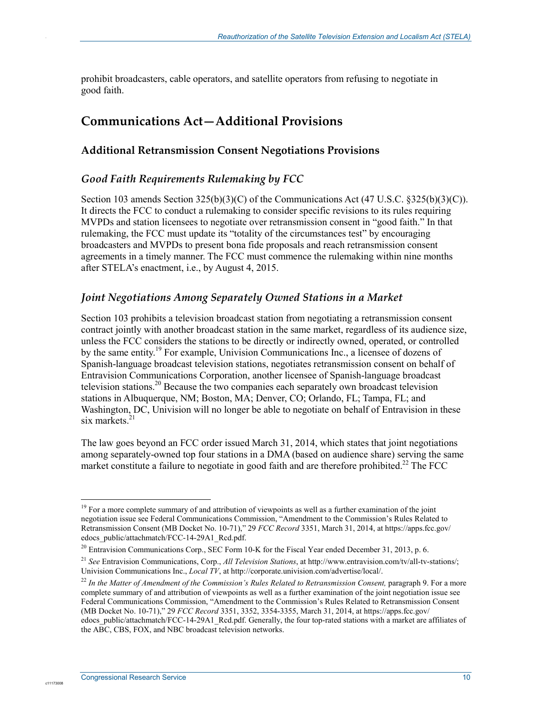prohibit broadcasters, cable operators, and satellite operators from refusing to negotiate in good faith.

### **Communications Act—Additional Provisions**

#### **Additional Retransmission Consent Negotiations Provisions**

#### *Good Faith Requirements Rulemaking by FCC*

Section 103 amends Section 325(b)(3)(C) of the Communications Act (47 U.S.C. §325(b)(3)(C)). It directs the FCC to conduct a rulemaking to consider specific revisions to its rules requiring MVPDs and station licensees to negotiate over retransmission consent in "good faith." In that rulemaking, the FCC must update its "totality of the circumstances test" by encouraging broadcasters and MVPDs to present bona fide proposals and reach retransmission consent agreements in a timely manner. The FCC must commence the rulemaking within nine months after STELA's enactment, i.e., by August 4, 2015.

#### *Joint Negotiations Among Separately Owned Stations in a Market*

Section 103 prohibits a television broadcast station from negotiating a retransmission consent contract jointly with another broadcast station in the same market, regardless of its audience size, unless the FCC considers the stations to be directly or indirectly owned, operated, or controlled by the same entity.<sup>19</sup> For example, Univision Communications Inc., a licensee of dozens of Spanish-language broadcast television stations, negotiates retransmission consent on behalf of Entravision Communications Corporation, another licensee of Spanish-language broadcast television stations.<sup>20</sup> Because the two companies each separately own broadcast television stations in Albuquerque, NM; Boston, MA; Denver, CO; Orlando, FL; Tampa, FL; and Washington, DC, Univision will no longer be able to negotiate on behalf of Entravision in these six markets.<sup>21</sup>

The law goes beyond an FCC order issued March 31, 2014, which states that joint negotiations among separately-owned top four stations in a DMA (based on audience share) serving the same market constitute a failure to negotiate in good faith and are therefore prohibited.<sup>22</sup> The FCC

<u>.</u>

c1117300

<sup>&</sup>lt;sup>19</sup> For a more complete summary of and attribution of viewpoints as well as a further examination of the joint negotiation issue see Federal Communications Commission, "Amendment to the Commission's Rules Related to Retransmission Consent (MB Docket No. 10-71)," 29 *FCC Record* 3351, March 31, 2014, at https://apps.fcc.gov/ edocs\_public/attachmatch/FCC-14-29A1\_Rcd.pdf.

<sup>&</sup>lt;sup>20</sup> Entravision Communications Corp., SEC Form 10-K for the Fiscal Year ended December 31, 2013, p. 6.

<sup>21</sup> *See* Entravision Communications, Corp., *All Television Stations*, at http://www.entravision.com/tv/all-tv-stations/; Univision Communications Inc., *Local TV*, at http://corporate.univision.com/advertise/local/.

<sup>22</sup> *In the Matter of Amendment of the Commission's Rules Related to Retransmission Consent,* paragraph 9. For a more complete summary of and attribution of viewpoints as well as a further examination of the joint negotiation issue see Federal Communications Commission, "Amendment to the Commission's Rules Related to Retransmission Consent (MB Docket No. 10-71)," 29 *FCC Record* 3351, 3352, 3354-3355, March 31, 2014, at https://apps.fcc.gov/ edocs\_public/attachmatch/FCC-14-29A1\_Rcd.pdf. Generally, the four top-rated stations with a market are affiliates of the ABC, CBS, FOX, and NBC broadcast television networks.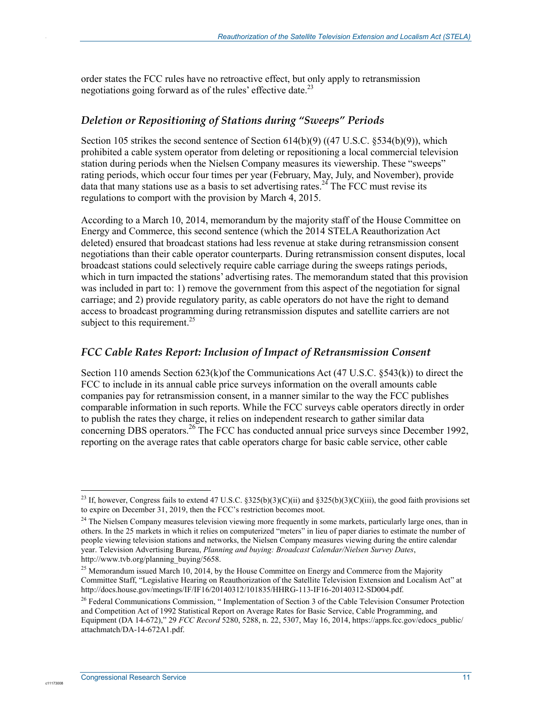order states the FCC rules have no retroactive effect, but only apply to retransmission negotiations going forward as of the rules' effective date. $^{23}$ 

#### *Deletion or Repositioning of Stations during "Sweeps" Periods*

Section 105 strikes the second sentence of Section 614(b)(9) ((47 U.S.C. §534(b)(9)), which prohibited a cable system operator from deleting or repositioning a local commercial television station during periods when the Nielsen Company measures its viewership. These "sweeps" rating periods, which occur four times per year (February, May, July, and November), provide data that many stations use as a basis to set advertising rates.<sup>24</sup> The FCC must revise its regulations to comport with the provision by March 4, 2015.

According to a March 10, 2014, memorandum by the majority staff of the House Committee on Energy and Commerce, this second sentence (which the 2014 STELA Reauthorization Act deleted) ensured that broadcast stations had less revenue at stake during retransmission consent negotiations than their cable operator counterparts. During retransmission consent disputes, local broadcast stations could selectively require cable carriage during the sweeps ratings periods, which in turn impacted the stations' advertising rates. The memorandum stated that this provision was included in part to: 1) remove the government from this aspect of the negotiation for signal carriage; and 2) provide regulatory parity, as cable operators do not have the right to demand access to broadcast programming during retransmission disputes and satellite carriers are not subject to this requirement. $25$ 

#### *FCC Cable Rates Report: Inclusion of Impact of Retransmission Consent*

Section 110 amends Section 623(k)of the Communications Act (47 U.S.C. §543(k)) to direct the FCC to include in its annual cable price surveys information on the overall amounts cable companies pay for retransmission consent, in a manner similar to the way the FCC publishes comparable information in such reports. While the FCC surveys cable operators directly in order to publish the rates they charge, it relies on independent research to gather similar data concerning DBS operators.<sup>26</sup> The FCC has conducted annual price surveys since December 1992, reporting on the average rates that cable operators charge for basic cable service, other cable

<u>.</u>

c1117300

<sup>&</sup>lt;sup>23</sup> If, however, Congress fails to extend 47 U.S.C. §325(b)(3)(C)(ii) and §325(b)(3)(C)(iii), the good faith provisions set to expire on December 31, 2019, then the FCC's restriction becomes moot.

<sup>&</sup>lt;sup>24</sup> The Nielsen Company measures television viewing more frequently in some markets, particularly large ones, than in others. In the 25 markets in which it relies on computerized "meters" in lieu of paper diaries to estimate the number of people viewing television stations and networks, the Nielsen Company measures viewing during the entire calendar year. Television Advertising Bureau, *Planning and buying: Broadcast Calendar/Nielsen Survey Dates*, http://www.tvb.org/planning\_buying/5658.

<sup>&</sup>lt;sup>25</sup> Memorandum issued March 10, 2014, by the House Committee on Energy and Commerce from the Majority Committee Staff, "Legislative Hearing on Reauthorization of the Satellite Television Extension and Localism Act" at http://docs.house.gov/meetings/IF/IF16/20140312/101835/HHRG-113-IF16-20140312-SD004.pdf.

<sup>&</sup>lt;sup>26</sup> Federal Communications Commission, " Implementation of Section 3 of the Cable Television Consumer Protection and Competition Act of 1992 Statistical Report on Average Rates for Basic Service, Cable Programming, and Equipment (DA 14-672)," 29 *FCC Record* 5280, 5288, n. 22, 5307, May 16, 2014, https://apps.fcc.gov/edocs\_public/ attachmatch/DA-14-672A1.pdf.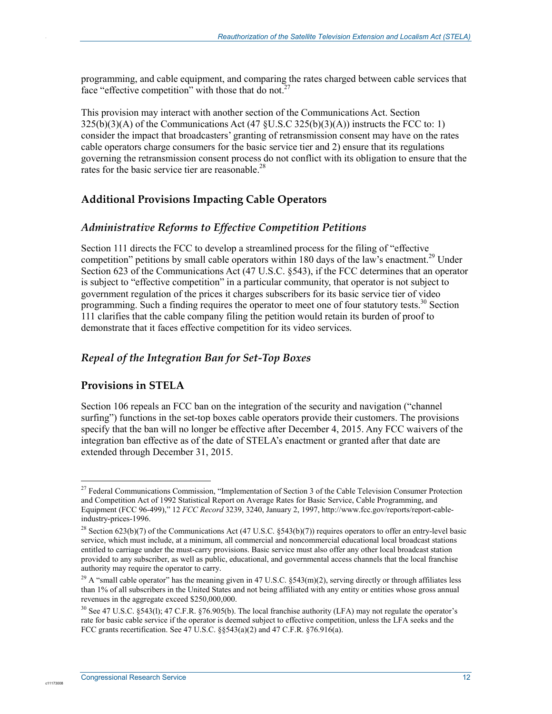programming, and cable equipment, and comparing the rates charged between cable services that face "effective competition" with those that do not.<sup>2</sup>

This provision may interact with another section of the Communications Act. Section  $325(b)(3)(A)$  of the Communications Act  $(47 \text{ } 8U.S.C \, 325(b)(3)(A))$  instructs the FCC to: 1) consider the impact that broadcasters' granting of retransmission consent may have on the rates cable operators charge consumers for the basic service tier and 2) ensure that its regulations governing the retransmission consent process do not conflict with its obligation to ensure that the rates for the basic service tier are reasonable.<sup>28</sup>

#### **Additional Provisions Impacting Cable Operators**

#### *Administrative Reforms to Effective Competition Petitions*

Section 111 directs the FCC to develop a streamlined process for the filing of "effective competition" petitions by small cable operators within 180 days of the law's enactment.<sup>29</sup> Under Section 623 of the Communications Act (47 U.S.C. §543), if the FCC determines that an operator is subject to "effective competition" in a particular community, that operator is not subject to government regulation of the prices it charges subscribers for its basic service tier of video programming. Such a finding requires the operator to meet one of four statutory tests.<sup>30</sup> Section 111 clarifies that the cable company filing the petition would retain its burden of proof to demonstrate that it faces effective competition for its video services.

#### *Repeal of the Integration Ban for Set-Top Boxes*

#### **Provisions in STELA**

1

c1117300

.

Section 106 repeals an FCC ban on the integration of the security and navigation ("channel surfing") functions in the set-top boxes cable operators provide their customers. The provisions specify that the ban will no longer be effective after December 4, 2015. Any FCC waivers of the integration ban effective as of the date of STELA's enactment or granted after that date are extended through December 31, 2015.

<sup>&</sup>lt;sup>27</sup> Federal Communications Commission, "Implementation of Section 3 of the Cable Television Consumer Protection and Competition Act of 1992 Statistical Report on Average Rates for Basic Service, Cable Programming, and Equipment (FCC 96-499)," 12 *FCC Record* 3239, 3240, January 2, 1997, http://www.fcc.gov/reports/report-cableindustry-prices-1996.

<sup>&</sup>lt;sup>28</sup> Section 623(b)(7) of the Communications Act (47 U.S.C. §543(b)(7)) requires operators to offer an entry-level basic service, which must include, at a minimum, all commercial and noncommercial educational local broadcast stations entitled to carriage under the must-carry provisions. Basic service must also offer any other local broadcast station provided to any subscriber, as well as public, educational, and governmental access channels that the local franchise authority may require the operator to carry.

<sup>&</sup>lt;sup>29</sup> A "small cable operator" has the meaning given in 47 U.S.C.  $$543(m)(2)$ , serving directly or through affiliates less than 1% of all subscribers in the United States and not being affiliated with any entity or entities whose gross annual revenues in the aggregate exceed \$250,000,000.

<sup>&</sup>lt;sup>30</sup> See 47 U.S.C. §543(1); 47 C.F.R. §76.905(b). The local franchise authority (LFA) may not regulate the operator's rate for basic cable service if the operator is deemed subject to effective competition, unless the LFA seeks and the FCC grants recertification. See  $47 \text{ U.S.C. }$  §§543(a)(2) and  $47 \text{ C.F.R. }$  §76.916(a).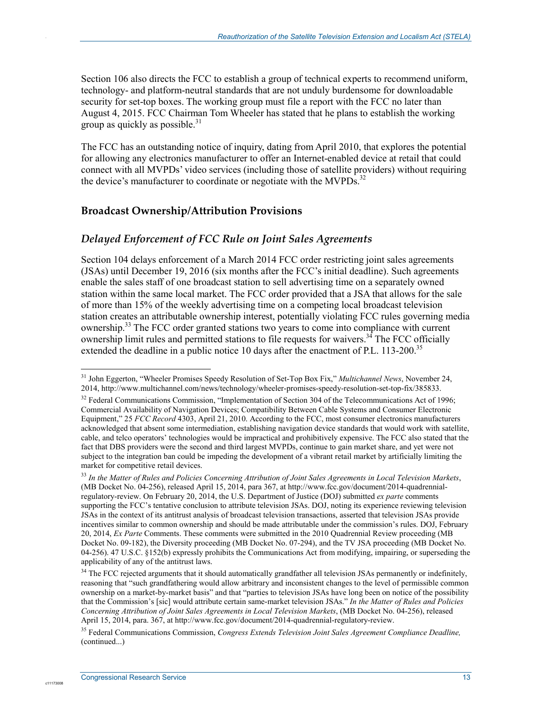Section 106 also directs the FCC to establish a group of technical experts to recommend uniform, technology- and platform-neutral standards that are not unduly burdensome for downloadable security for set-top boxes. The working group must file a report with the FCC no later than August 4, 2015. FCC Chairman Tom Wheeler has stated that he plans to establish the working group as quickly as possible. $31$ 

The FCC has an outstanding notice of inquiry, dating from April 2010, that explores the potential for allowing any electronics manufacturer to offer an Internet-enabled device at retail that could connect with all MVPDs' video services (including those of satellite providers) without requiring the device's manufacturer to coordinate or negotiate with the MVPDs.<sup>32</sup>

#### **Broadcast Ownership/Attribution Provisions**

#### *Delayed Enforcement of FCC Rule on Joint Sales Agreements*

Section 104 delays enforcement of a March 2014 FCC order restricting joint sales agreements (JSAs) until December 19, 2016 (six months after the FCC's initial deadline). Such agreements enable the sales staff of one broadcast station to sell advertising time on a separately owned station within the same local market. The FCC order provided that a JSA that allows for the sale of more than 15% of the weekly advertising time on a competing local broadcast television station creates an attributable ownership interest, potentially violating FCC rules governing media ownership.<sup>33</sup> The FCC order granted stations two years to come into compliance with current ownership limit rules and permitted stations to file requests for waivers.<sup>34</sup> The FCC officially extended the deadline in a public notice 10 days after the enactment of P.L. 113-200.<sup>35</sup>

c1117300

1

<sup>31</sup> John Eggerton, "Wheeler Promises Speedy Resolution of Set-Top Box Fix," *Multichannel News*, November 24, 2014, http://www.multichannel.com/news/technology/wheeler-promises-speedy-resolution-set-top-fix/385833.

 $32$  Federal Communications Commission, "Implementation of Section 304 of the Telecommunications Act of 1996; Commercial Availability of Navigation Devices; Compatibility Between Cable Systems and Consumer Electronic Equipment," 25 *FCC Record* 4303, April 21, 2010. According to the FCC, most consumer electronics manufacturers acknowledged that absent some intermediation, establishing navigation device standards that would work with satellite, cable, and telco operators' technologies would be impractical and prohibitively expensive. The FCC also stated that the fact that DBS providers were the second and third largest MVPDs, continue to gain market share, and yet were not subject to the integration ban could be impeding the development of a vibrant retail market by artificially limiting the market for competitive retail devices.

<sup>33</sup> *In the Matter of Rules and Policies Concerning Attribution of Joint Sales Agreements in Local Television Markets*, (MB Docket No. 04-256), released April 15, 2014, para 367, at http://www.fcc.gov/document/2014-quadrennialregulatory-review. On February 20, 2014, the U.S. Department of Justice (DOJ) submitted *ex parte* comments supporting the FCC's tentative conclusion to attribute television JSAs. DOJ, noting its experience reviewing television JSAs in the context of its antitrust analysis of broadcast television transactions, asserted that television JSAs provide incentives similar to common ownership and should be made attributable under the commission's rules. DOJ, February 20, 2014, *Ex Parte* Comments. These comments were submitted in the 2010 Quadrennial Review proceeding (MB Docket No. 09-182), the Diversity proceeding (MB Docket No. 07-294), and the TV JSA proceeding (MB Docket No. 04-256). 47 U.S.C. §152(b) expressly prohibits the Communications Act from modifying, impairing, or superseding the applicability of any of the antitrust laws.

<sup>&</sup>lt;sup>34</sup> The FCC rejected arguments that it should automatically grandfather all television JSAs permanently or indefinitely, reasoning that "such grandfathering would allow arbitrary and inconsistent changes to the level of permissible common ownership on a market-by-market basis" and that "parties to television JSAs have long been on notice of the possibility that the Commission's [sic] would attribute certain same-market television JSAs." *In the Matter of Rules and Policies Concerning Attribution of Joint Sales Agreements in Local Television Markets*, (MB Docket No. 04-256), released April 15, 2014, para. 367, at http://www.fcc.gov/document/2014-quadrennial-regulatory-review.

<sup>35</sup> Federal Communications Commission, *Congress Extends Television Joint Sales Agreement Compliance Deadline,*  (continued...)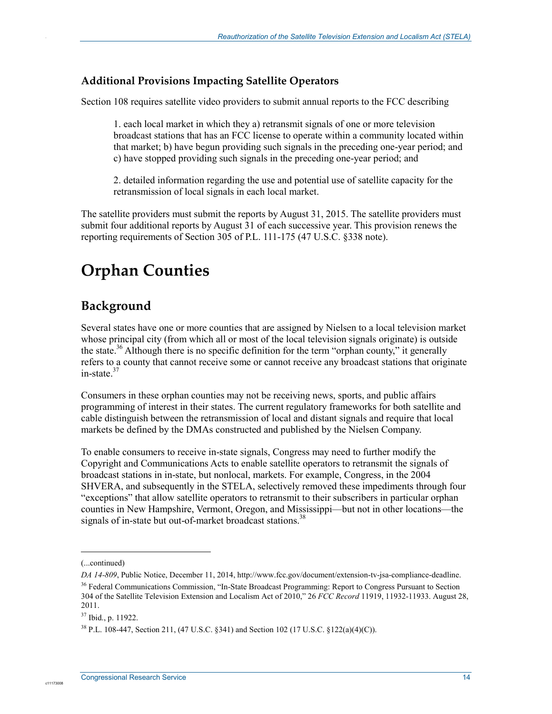#### **Additional Provisions Impacting Satellite Operators**

Section 108 requires satellite video providers to submit annual reports to the FCC describing

1. each local market in which they a) retransmit signals of one or more television broadcast stations that has an FCC license to operate within a community located within that market; b) have begun providing such signals in the preceding one-year period; and c) have stopped providing such signals in the preceding one-year period; and

2. detailed information regarding the use and potential use of satellite capacity for the retransmission of local signals in each local market.

The satellite providers must submit the reports by August 31, 2015. The satellite providers must submit four additional reports by August 31 of each successive year. This provision renews the reporting requirements of Section 305 of P.L. 111-175 (47 U.S.C. §338 note).

## **Orphan Counties**

### **Background**

.

Several states have one or more counties that are assigned by Nielsen to a local television market whose principal city (from which all or most of the local television signals originate) is outside the state.<sup>36</sup> Although there is no specific definition for the term "orphan county," it generally refers to a county that cannot receive some or cannot receive any broadcast stations that originate in-state. $37$ 

Consumers in these orphan counties may not be receiving news, sports, and public affairs programming of interest in their states. The current regulatory frameworks for both satellite and cable distinguish between the retransmission of local and distant signals and require that local markets be defined by the DMAs constructed and published by the Nielsen Company.

To enable consumers to receive in-state signals, Congress may need to further modify the Copyright and Communications Acts to enable satellite operators to retransmit the signals of broadcast stations in in-state, but nonlocal, markets. For example, Congress, in the 2004 SHVERA, and subsequently in the STELA, selectively removed these impediments through four "exceptions" that allow satellite operators to retransmit to their subscribers in particular orphan counties in New Hampshire, Vermont, Oregon, and Mississippi—but not in other locations—the signals of in-state but out-of-market broadcast stations.<sup>38</sup>

1

<sup>(...</sup>continued)

*DA 14-809*, Public Notice, December 11, 2014, http://www.fcc.gov/document/extension-tv-jsa-compliance-deadline. <sup>36</sup> Federal Communications Commission, "In-State Broadcast Programming: Report to Congress Pursuant to Section 304 of the Satellite Television Extension and Localism Act of 2010," 26 *FCC Record* 11919, 11932-11933. August 28, 2011.

<sup>37</sup> Ibid., p. 11922.

<sup>38</sup> P.L. 108-447, Section 211, (47 U.S.C. §341) and Section 102 (17 U.S.C. §122(a)(4)(C)).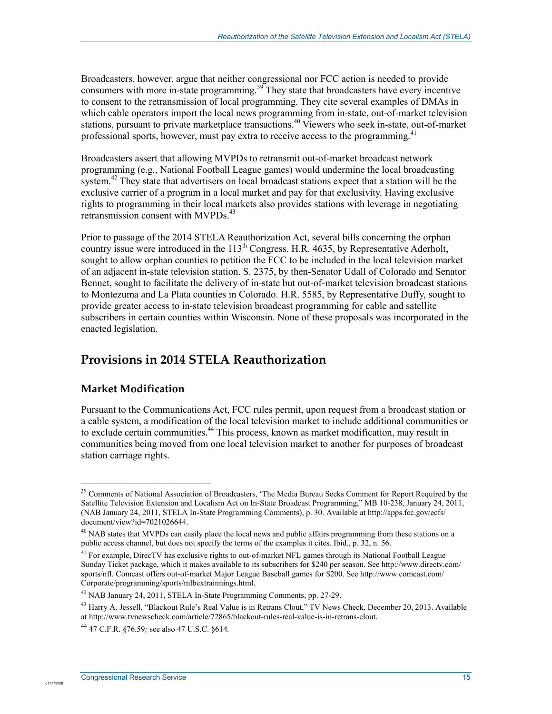Broadcasters, however, argue that neither congressional nor FCC action is needed to provide consumers with more in-state programming.<sup>39</sup> They state that broadcasters have every incentive to consent to the retransmission of local programming. They cite several examples of DMAs in which cable operators import the local news programming from in-state, out-of-market television stations, pursuant to private marketplace transactions.<sup>40</sup> Viewers who seek in-state, out-of-market professional sports, however, must pay extra to receive access to the programming.<sup>41</sup>

Broadcasters assert that allowing MVPDs to retransmit out-of-market broadcast network programming (e.g., National Football League games) would undermine the local broadcasting system.<sup>42</sup> They state that advertisers on local broadcast stations expect that a station will be the exclusive carrier of a program in a local market and pay for that exclusivity. Having exclusive rights to programming in their local markets also provides stations with leverage in negotiating retransmission consent with MVPDs.<sup>43</sup>

Prior to passage of the 2014 STELA Reauthorization Act, several bills concerning the orphan country issue were introduced in the  $113<sup>th</sup>$  Congress. H.R. 4635, by Representative Aderholt, sought to allow orphan counties to petition the FCC to be included in the local television market of an adjacent in-state television station. S. 2375, by then-Senator Udall of Colorado and Senator Bennet, sought to facilitate the delivery of in-state but out-of-market television broadcast stations to Montezuma and La Plata counties in Colorado. H.R. 5585, by Representative Duffy, sought to provide greater access to in-state television broadcast programming for cable and satellite subscribers in certain counties within Wisconsin. None of these proposals was incorporated in the enacted legislation.

### **Provisions in 2014 STELA Reauthorization**

#### **Market Modification**

1

c11173008

.

Pursuant to the Communications Act, FCC rules permit, upon request from a broadcast station or a cable system, a modification of the local television market to include additional communities or to exclude certain communities.<sup>44</sup> This process, known as market modification, may result in communities being moved from one local television market to another for purposes of broadcast station carriage rights.

<sup>&</sup>lt;sup>39</sup> Comments of National Association of Broadcasters, 'The Media Bureau Seeks Comment for Report Required by the Satellite Television Extension and Localism Act on In-State Broadcast Programming," MB 10-238, January 24, 2011, (NAB January 24, 2011, STELA In-State Programming Comments), p. 30. Available at http://apps.fcc.gov/ecfs/ document/view?id=7021026644.

<sup>&</sup>lt;sup>40</sup> NAB states that MVPDs can easily place the local news and public affairs programming from these stations on a public access channel, but does not specify the terms of the examples it cites. Ibid., p. 32, n. 56.

<sup>&</sup>lt;sup>41</sup> For example, DirecTV has exclusive rights to out-of-market NFL games through its National Football League Sunday Ticket package, which it makes available to its subscribers for \$240 per season. See http://www.directv.com/ sports/nfl. Comcast offers out-of-market Major League Baseball games for \$200. See http://www.comcast.com/ Corporate/programming/sports/mlbextrainnings.html.

<sup>&</sup>lt;sup>42</sup> NAB January 24, 2011, STELA In-State Programming Comments, pp. 27-29.

<sup>&</sup>lt;sup>43</sup> Harry A. Jessell, "Blackout Rule's Real Value is in Retrans Clout," TV News Check, December 20, 2013. Available at http://www.tvnewscheck.com/article/72865/blackout-rules-real-value-is-in-retrans-clout.

<sup>44 47</sup> C.F.R. §76.59*;* see also 47 U.S.C. §614*.*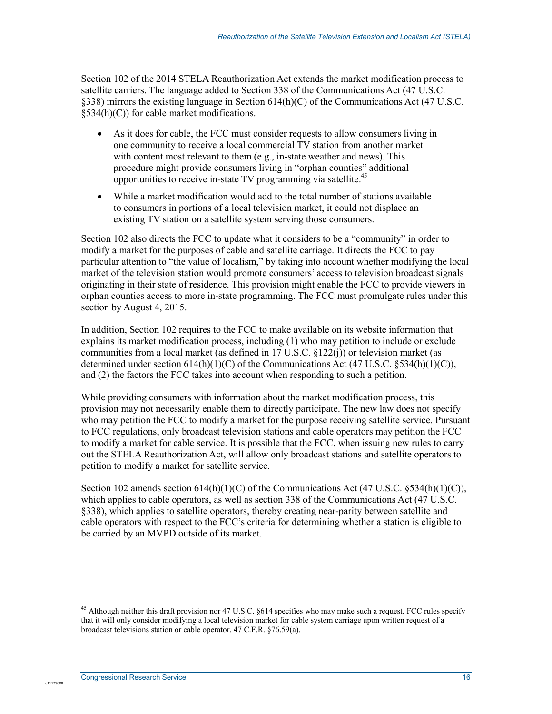Section 102 of the 2014 STELA Reauthorization Act extends the market modification process to satellite carriers. The language added to Section 338 of the Communications Act (47 U.S.C. §338) mirrors the existing language in Section 614(h)(C) of the Communications Act (47 U.S.C.  $§534(h)(C)$  for cable market modifications.

- As it does for cable, the FCC must consider requests to allow consumers living in one community to receive a local commercial TV station from another market with content most relevant to them (e.g., in-state weather and news). This procedure might provide consumers living in "orphan counties" additional opportunities to receive in-state TV programming via satellite.45
- While a market modification would add to the total number of stations available to consumers in portions of a local television market, it could not displace an existing TV station on a satellite system serving those consumers.

Section 102 also directs the FCC to update what it considers to be a "community" in order to modify a market for the purposes of cable and satellite carriage. It directs the FCC to pay particular attention to "the value of localism," by taking into account whether modifying the local market of the television station would promote consumers' access to television broadcast signals originating in their state of residence. This provision might enable the FCC to provide viewers in orphan counties access to more in-state programming. The FCC must promulgate rules under this section by August 4, 2015.

In addition, Section 102 requires to the FCC to make available on its website information that explains its market modification process, including (1) who may petition to include or exclude communities from a local market (as defined in 17 U.S.C. §122(j)) or television market (as determined under section  $614(h)(1)(C)$  of the Communications Act (47 U.S.C. §534(h)(1)(C)), and (2) the factors the FCC takes into account when responding to such a petition.

While providing consumers with information about the market modification process, this provision may not necessarily enable them to directly participate. The new law does not specify who may petition the FCC to modify a market for the purpose receiving satellite service. Pursuant to FCC regulations, only broadcast television stations and cable operators may petition the FCC to modify a market for cable service. It is possible that the FCC, when issuing new rules to carry out the STELA Reauthorization Act, will allow only broadcast stations and satellite operators to petition to modify a market for satellite service.

Section 102 amends section 614(h)(1)(C) of the Communications Act (47 U.S.C. §534(h)(1)(C)), which applies to cable operators, as well as section 338 of the Communications Act (47 U.S.C. §338), which applies to satellite operators, thereby creating near-parity between satellite and cable operators with respect to the FCC's criteria for determining whether a station is eligible to be carried by an MVPD outside of its market.

1

c11173008

<sup>&</sup>lt;sup>45</sup> Although neither this draft provision nor 47 U.S.C. §614 specifies who may make such a request, FCC rules specify that it will only consider modifying a local television market for cable system carriage upon written request of a broadcast televisions station or cable operator. 47 C.F.R. §76.59(a).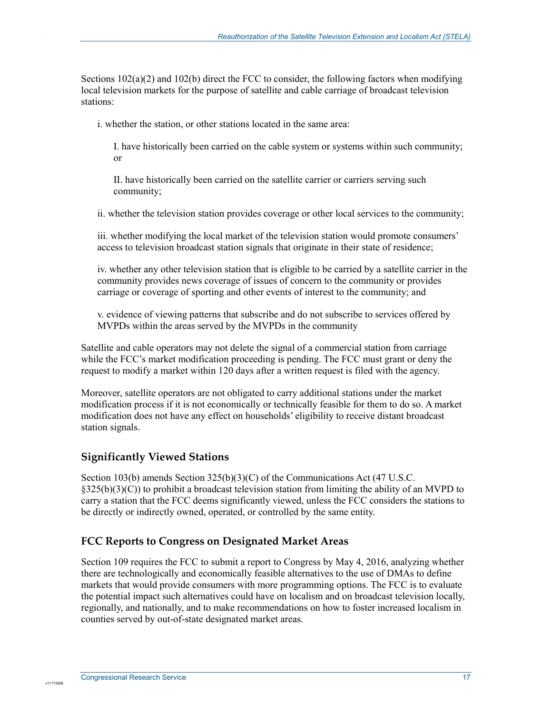Sections  $102(a)(2)$  and  $102(b)$  direct the FCC to consider, the following factors when modifying local television markets for the purpose of satellite and cable carriage of broadcast television stations:

i. whether the station, or other stations located in the same area:

I. have historically been carried on the cable system or systems within such community; or

II. have historically been carried on the satellite carrier or carriers serving such community;

ii. whether the television station provides coverage or other local services to the community;

iii. whether modifying the local market of the television station would promote consumers' access to television broadcast station signals that originate in their state of residence;

iv. whether any other television station that is eligible to be carried by a satellite carrier in the community provides news coverage of issues of concern to the community or provides carriage or coverage of sporting and other events of interest to the community; and

v. evidence of viewing patterns that subscribe and do not subscribe to services offered by MVPDs within the areas served by the MVPDs in the community

Satellite and cable operators may not delete the signal of a commercial station from carriage while the FCC's market modification proceeding is pending. The FCC must grant or deny the request to modify a market within 120 days after a written request is filed with the agency.

Moreover, satellite operators are not obligated to carry additional stations under the market modification process if it is not economically or technically feasible for them to do so. A market modification does not have any effect on households' eligibility to receive distant broadcast station signals.

#### **Significantly Viewed Stations**

.

Section 103(b) amends Section 325(b)(3)(C) of the Communications Act (47 U.S.C. §325(b)(3)(C)) to prohibit a broadcast television station from limiting the ability of an MVPD to carry a station that the FCC deems significantly viewed, unless the FCC considers the stations to be directly or indirectly owned, operated, or controlled by the same entity.

#### **FCC Reports to Congress on Designated Market Areas**

Section 109 requires the FCC to submit a report to Congress by May 4, 2016, analyzing whether there are technologically and economically feasible alternatives to the use of DMAs to define markets that would provide consumers with more programming options. The FCC is to evaluate the potential impact such alternatives could have on localism and on broadcast television locally, regionally, and nationally, and to make recommendations on how to foster increased localism in counties served by out-of-state designated market areas.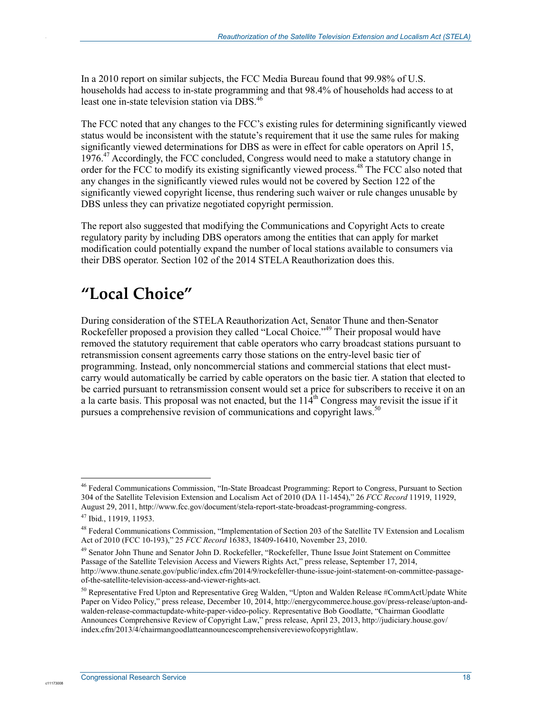In a 2010 report on similar subjects, the FCC Media Bureau found that 99.98% of U.S. households had access to in-state programming and that 98.4% of households had access to at least one in-state television station via DBS.<sup>46</sup>

The FCC noted that any changes to the FCC's existing rules for determining significantly viewed status would be inconsistent with the statute's requirement that it use the same rules for making significantly viewed determinations for DBS as were in effect for cable operators on April 15, 1976.<sup>47</sup> Accordingly, the FCC concluded, Congress would need to make a statutory change in order for the FCC to modify its existing significantly viewed process.48 The FCC also noted that any changes in the significantly viewed rules would not be covered by Section 122 of the significantly viewed copyright license, thus rendering such waiver or rule changes unusable by DBS unless they can privatize negotiated copyright permission.

The report also suggested that modifying the Communications and Copyright Acts to create regulatory parity by including DBS operators among the entities that can apply for market modification could potentially expand the number of local stations available to consumers via their DBS operator. Section 102 of the 2014 STELA Reauthorization does this.

## **"Local Choice"**

During consideration of the STELA Reauthorization Act, Senator Thune and then-Senator Rockefeller proposed a provision they called "Local Choice."<sup>49</sup> Their proposal would have removed the statutory requirement that cable operators who carry broadcast stations pursuant to retransmission consent agreements carry those stations on the entry-level basic tier of programming. Instead, only noncommercial stations and commercial stations that elect mustcarry would automatically be carried by cable operators on the basic tier. A station that elected to be carried pursuant to retransmission consent would set a price for subscribers to receive it on an a la carte basis. This proposal was not enacted, but the  $114<sup>th</sup>$  Congress may revisit the issue if it pursues a comprehensive revision of communications and copyright laws.<sup>50</sup>

1

c1117300

<sup>46</sup> Federal Communications Commission, "In-State Broadcast Programming: Report to Congress, Pursuant to Section 304 of the Satellite Television Extension and Localism Act of 2010 (DA 11-1454)," 26 *FCC Record* 11919, 11929, August 29, 2011, http://www.fcc.gov/document/stela-report-state-broadcast-programming-congress.

<sup>47</sup> Ibid., 11919, 11953.

<sup>&</sup>lt;sup>48</sup> Federal Communications Commission, "Implementation of Section 203 of the Satellite TV Extension and Localism Act of 2010 (FCC 10-193)," 25 *FCC Record* 16383, 18409-16410, November 23, 2010.

<sup>49</sup> Senator John Thune and Senator John D. Rockefeller, "Rockefeller, Thune Issue Joint Statement on Committee Passage of the Satellite Television Access and Viewers Rights Act," press release, September 17, 2014, http://www.thune.senate.gov/public/index.cfm/2014/9/rockefeller-thune-issue-joint-statement-on-committee-passageof-the-satellite-television-access-and-viewer-rights-act.

<sup>&</sup>lt;sup>50</sup> Representative Fred Upton and Representative Greg Walden, "Upton and Walden Release #CommActUpdate White Paper on Video Policy," press release, December 10, 2014, http://energycommerce.house.gov/press-release/upton-andwalden-release-commactupdate-white-paper-video-policy. Representative Bob Goodlatte, "Chairman Goodlatte Announces Comprehensive Review of Copyright Law," press release, April 23, 2013, http://judiciary.house.gov/ index.cfm/2013/4/chairmangoodlatteannouncescomprehensivereviewofcopyrightlaw.